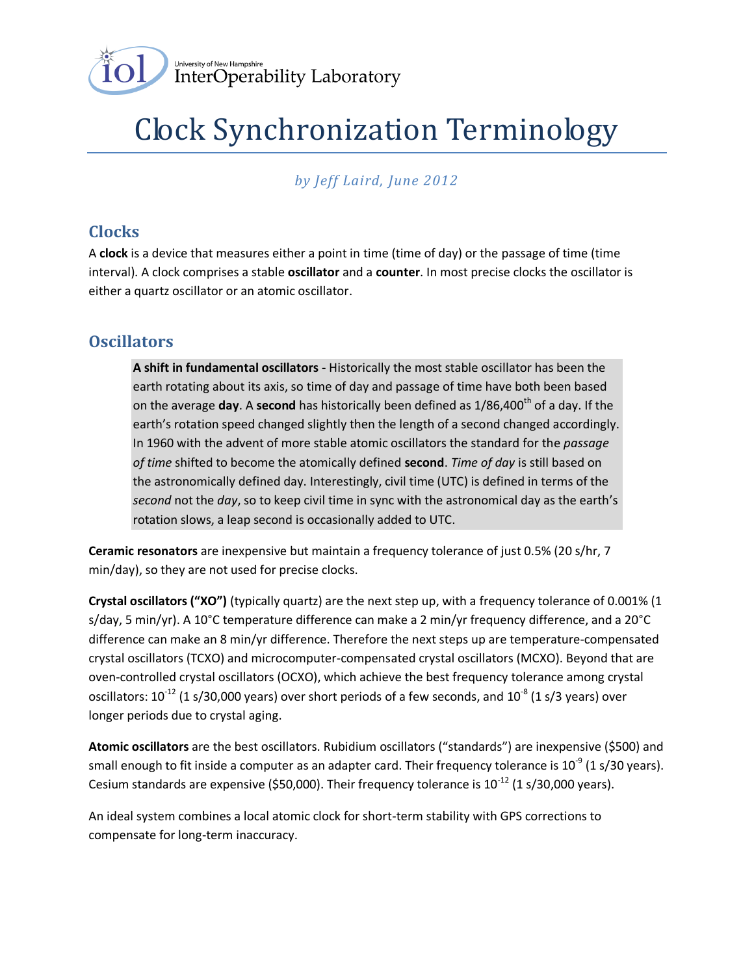

# Clock Synchronization Terminology

*by Jeff Laird, June 2012*

### **Clocks**

A **clock** is a device that measures either a point in time (time of day) or the passage of time (time interval). A clock comprises a stable **oscillator** and a **counter**. In most precise clocks the oscillator is either a quartz oscillator or an atomic oscillator.

#### **Oscillators**

**A shift in fundamental oscillators -** Historically the most stable oscillator has been the earth rotating about its axis, so time of day and passage of time have both been based on the average **day**. A **second** has historically been defined as 1/86,400<sup>th</sup> of a day. If the earth's rotation speed changed slightly then the length of a second changed accordingly. In 1960 with the advent of more stable atomic oscillators the standard for the *passage of time* shifted to become the atomically defined **second**. *Time of day* is still based on the astronomically defined day. Interestingly, civil time (UTC) is defined in terms of the *second* not the *day*, so to keep civil time in sync with the astronomical day as the earth's rotation slows, a leap second is occasionally added to UTC.

**Ceramic resonators** are inexpensive but maintain a frequency tolerance of just 0.5% (20 s/hr, 7 min/day), so they are not used for precise clocks.

**Crystal oscillators ("XO")** (typically quartz) are the next step up, with a frequency tolerance of 0.001% (1 s/day, 5 min/yr). A 10°C temperature difference can make a 2 min/yr frequency difference, and a 20°C difference can make an 8 min/yr difference. Therefore the next steps up are temperature-compensated crystal oscillators (TCXO) and microcomputer-compensated crystal oscillators (MCXO). Beyond that are oven-controlled crystal oscillators (OCXO), which achieve the best frequency tolerance among crystal oscillators: 10<sup>-12</sup> (1 s/30,000 years) over short periods of a few seconds, and 10<sup>-8</sup> (1 s/3 years) over longer periods due to crystal aging.

**Atomic oscillators** are the best oscillators. Rubidium oscillators ("standards") are inexpensive (\$500) and small enough to fit inside a computer as an adapter card. Their frequency tolerance is 10<sup>-9</sup> (1 s/30 years). Cesium standards are expensive (\$50,000). Their frequency tolerance is  $10^{-12}$  (1 s/30,000 years).

An ideal system combines a local atomic clock for short-term stability with GPS corrections to compensate for long-term inaccuracy.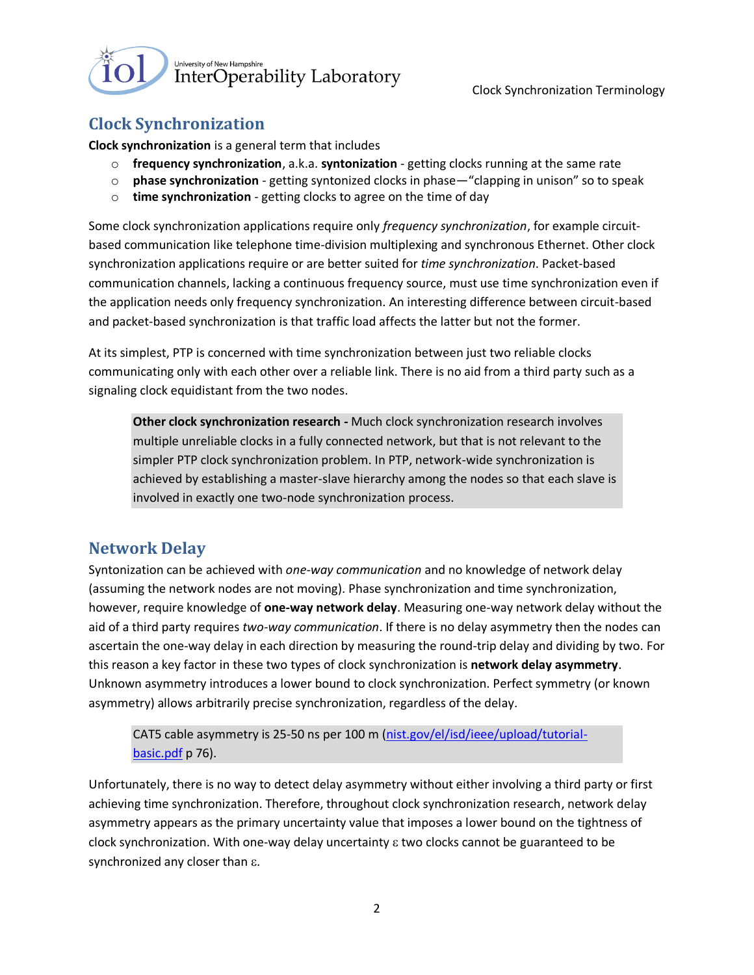

Clock Synchronization Terminology

# **Clock Synchronization**

**Clock synchronization** is a general term that includes

- o **frequency synchronization**, a.k.a. **syntonization** getting clocks running at the same rate
- o **phase synchronization** getting syntonized clocks in phase—"clapping in unison" so to speak
- o **time synchronization** getting clocks to agree on the time of day

Some clock synchronization applications require only *frequency synchronization*, for example circuitbased communication like telephone time-division multiplexing and synchronous Ethernet. Other clock synchronization applications require or are better suited for *time synchronization*. Packet-based communication channels, lacking a continuous frequency source, must use time synchronization even if the application needs only frequency synchronization. An interesting difference between circuit-based and packet-based synchronization is that traffic load affects the latter but not the former.

At its simplest, PTP is concerned with time synchronization between just two reliable clocks communicating only with each other over a reliable link. There is no aid from a third party such as a signaling clock equidistant from the two nodes.

**Other clock synchronization research -** Much clock synchronization research involves multiple unreliable clocks in a fully connected network, but that is not relevant to the simpler PTP clock synchronization problem. In PTP, network-wide synchronization is achieved by establishing a master-slave hierarchy among the nodes so that each slave is involved in exactly one two-node synchronization process.

#### **Network Delay**

Syntonization can be achieved with *one-way communication* and no knowledge of network delay (assuming the network nodes are not moving). Phase synchronization and time synchronization, however, require knowledge of **one-way network delay**. Measuring one-way network delay without the aid of a third party requires *two-way communication*. If there is no delay asymmetry then the nodes can ascertain the one-way delay in each direction by measuring the round-trip delay and dividing by two. For this reason a key factor in these two types of clock synchronization is **network delay asymmetry**. Unknown asymmetry introduces a lower bound to clock synchronization. Perfect symmetry (or known asymmetry) allows arbitrarily precise synchronization, regardless of the delay.

CAT5 cable asymmetry is 25-50 ns per 100 m [\(nist.gov/el/isd/ieee/upload/tutorial](nist.gov/el/isd/ieee/upload/tutorial-basic.pdf)[basic.pdf](nist.gov/el/isd/ieee/upload/tutorial-basic.pdf) p 76).

Unfortunately, there is no way to detect delay asymmetry without either involving a third party or first achieving time synchronization. Therefore, throughout clock synchronization research, network delay asymmetry appears as the primary uncertainty value that imposes a lower bound on the tightness of clock synchronization. With one-way delay uncertainty  $\varepsilon$  two clocks cannot be guaranteed to be synchronized any closer than  $\varepsilon$ .